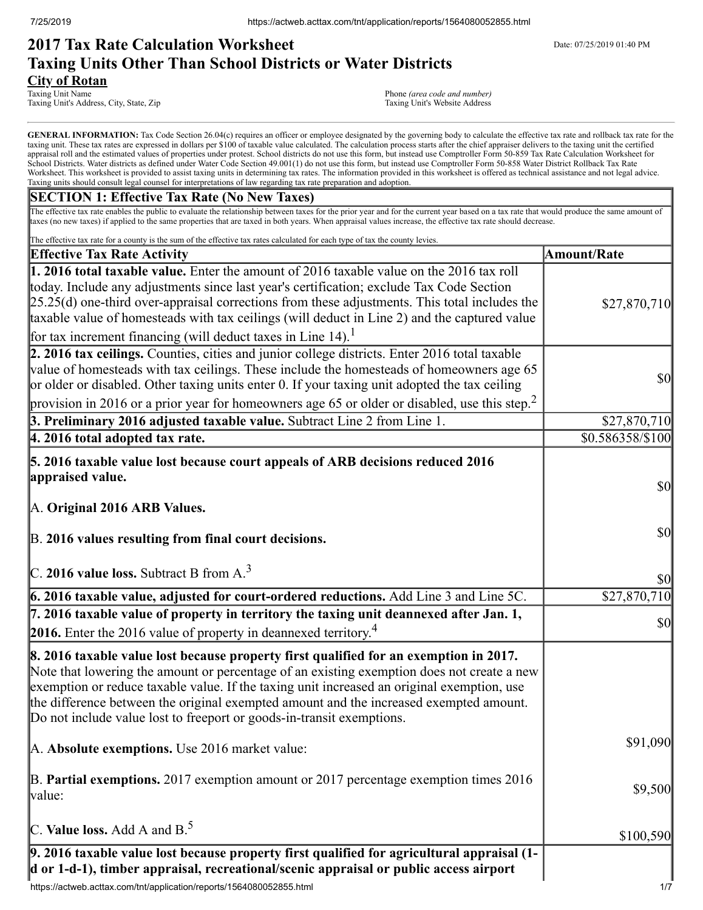# **2017 Tax Rate Calculation Worksheet** Department Date: 07/25/2019 01:40 PM **Taxing Units Other Than School Districts or Water Districts City of Rotan**<br>Taxing Unit Name

Taxing Unit's Address, City, State, Zip

Phone *(area code and number)*<br>Taxing Unit's Website Address

GENERAL INFORMATION: Tax Code Section 26.04(c) requires an officer or employee designated by the governing body to calculate the effective tax rate and rollback tax rate for the taxing unit. These tax rates are expressed in dollars per \$100 of taxable value calculated. The calculation process starts after the chief appraiser delivers to the taxing unit the certified appraisal roll and the estimated values of properties under protest. School districts do not use this form, but instead use Comptroller Form 50-859 Tax Rate Calculation Worksheet for School Districts. Water districts as defined under Water Code Section 49.001(1) do not use this form, but instead use Comptroller Form 50-858 Water District Rollback Tax Rate Worksheet. This worksheet is provided to assist taxing units in determining tax rates. The information provided in this worksheet is offered as technical assistance and not legal advice. Taxing units should consult legal counsel for interpretations of law regarding tax rate preparation and adoption.

## **SECTION 1: Effective Tax Rate (No New Taxes)**

The effective tax rate enables the public to evaluate the relationship between taxes for the prior year and for the current year based on a tax rate that would produce the same amount of taxes (no new taxes) if applied to the same properties that are taxed in both years. When appraisal values increase, the effective tax rate should decrease.

| The effective tax rate for a county is the sum of the effective tax rates calculated for each type of tax the county levies.                                                                                                                                                                                                                                                                                                                                         |                                     |
|----------------------------------------------------------------------------------------------------------------------------------------------------------------------------------------------------------------------------------------------------------------------------------------------------------------------------------------------------------------------------------------------------------------------------------------------------------------------|-------------------------------------|
| <b>Effective Tax Rate Activity</b>                                                                                                                                                                                                                                                                                                                                                                                                                                   | <b>Amount/Rate</b>                  |
| 1. 2016 total taxable value. Enter the amount of 2016 taxable value on the 2016 tax roll<br>today. Include any adjustments since last year's certification; exclude Tax Code Section<br>$[25.25(d)$ one-third over-appraisal corrections from these adjustments. This total includes the<br>taxable value of homesteads with tax ceilings (will deduct in Line 2) and the captured value<br>for tax increment financing (will deduct taxes in Line 14). <sup>1</sup> | \$27,870,710                        |
| 2. 2016 tax ceilings. Counties, cities and junior college districts. Enter 2016 total taxable<br>value of homesteads with tax ceilings. These include the homesteads of homeowners age 65<br>or older or disabled. Other taxing units enter 0. If your taxing unit adopted the tax ceiling<br>provision in 2016 or a prior year for homeowners age 65 or older or disabled, use this step. <sup>2</sup>                                                              | $\vert \mathbf{S} \mathbf{O} \vert$ |
| 3. Preliminary 2016 adjusted taxable value. Subtract Line 2 from Line 1.                                                                                                                                                                                                                                                                                                                                                                                             | \$27,870,710                        |
| $ 4.2016$ total adopted tax rate.                                                                                                                                                                                                                                                                                                                                                                                                                                    | \$0.586358/\$100                    |
| 5. 2016 taxable value lost because court appeals of ARB decisions reduced 2016<br>appraised value.                                                                                                                                                                                                                                                                                                                                                                   | $\vert \mathbf{S} \mathbf{O} \vert$ |
| A. Original 2016 ARB Values.                                                                                                                                                                                                                                                                                                                                                                                                                                         |                                     |
| B. 2016 values resulting from final court decisions.                                                                                                                                                                                                                                                                                                                                                                                                                 | $\vert \$\text{0}\vert$             |
| $\vert$ C. 2016 value loss. Subtract B from A. <sup>3</sup>                                                                                                                                                                                                                                                                                                                                                                                                          | \$0                                 |
| 6. 2016 taxable value, adjusted for court-ordered reductions. Add Line 3 and Line 5C.                                                                                                                                                                                                                                                                                                                                                                                | \$27,870,710                        |
| 7. 2016 taxable value of property in territory the taxing unit deannexed after Jan. 1,<br><b>2016.</b> Enter the 2016 value of property in deannexed territory. <sup>4</sup>                                                                                                                                                                                                                                                                                         | \$0                                 |
| 8. 2016 taxable value lost because property first qualified for an exemption in 2017.<br>Note that lowering the amount or percentage of an existing exemption does not create a new<br>exemption or reduce taxable value. If the taxing unit increased an original exemption, use<br>the difference between the original exempted amount and the increased exempted amount.<br>Do not include value lost to freeport or goods-in-transit exemptions.                 |                                     |
| A. Absolute exemptions. Use 2016 market value:                                                                                                                                                                                                                                                                                                                                                                                                                       | \$91,090                            |
| $\vert$ B. Partial exemptions. 2017 exemption amount or 2017 percentage exemption times 2016<br>value:                                                                                                                                                                                                                                                                                                                                                               | \$9,500                             |
| C. Value loss. Add A and $B^5$ .                                                                                                                                                                                                                                                                                                                                                                                                                                     | \$100,590                           |
| 9. 2016 taxable value lost because property first qualified for agricultural appraisal (1-<br>d or 1-d-1), timber appraisal, recreational/scenic appraisal or public access airport                                                                                                                                                                                                                                                                                  |                                     |

https://actweb.acttax.com/tnt/application/reports/1564080052855.html 1/7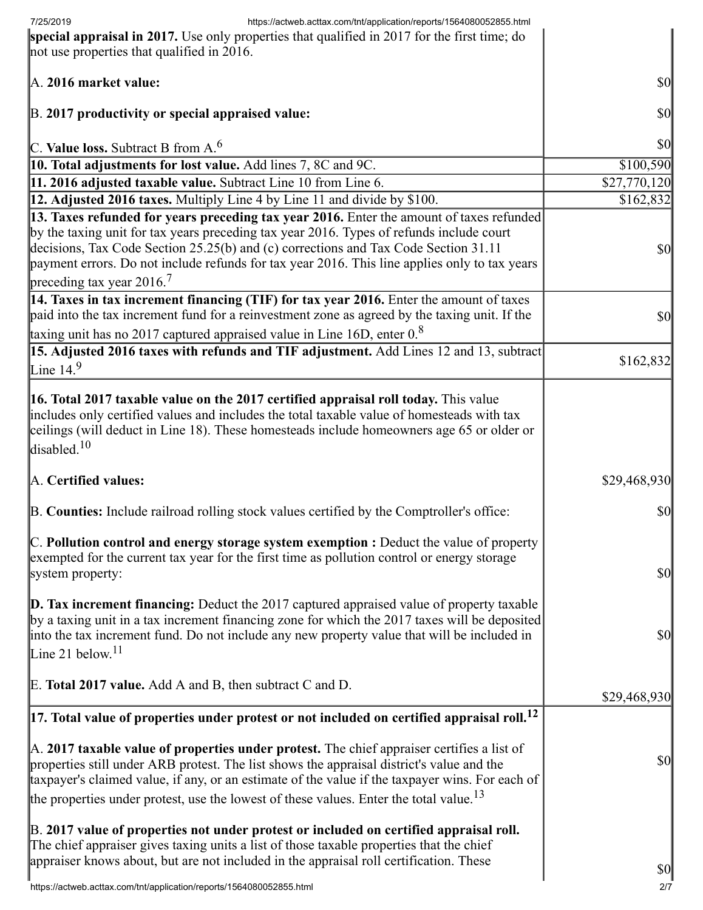| 7/25/2019<br>https://actweb.acttax.com/tnt/application/reports/1564080052855.html                                                                                                                                                                                                                                                                                                                                      |                                     |
|------------------------------------------------------------------------------------------------------------------------------------------------------------------------------------------------------------------------------------------------------------------------------------------------------------------------------------------------------------------------------------------------------------------------|-------------------------------------|
| special appraisal in 2017. Use only properties that qualified in 2017 for the first time; do<br>not use properties that qualified in 2016.                                                                                                                                                                                                                                                                             |                                     |
| A. 2016 market value:                                                                                                                                                                                                                                                                                                                                                                                                  | \$0                                 |
| B. 2017 productivity or special appraised value:                                                                                                                                                                                                                                                                                                                                                                       | \$0                                 |
| C. Value loss. Subtract B from $A6$                                                                                                                                                                                                                                                                                                                                                                                    | \$0                                 |
| <b>10. Total adjustments for lost value.</b> Add lines 7, 8C and 9C.                                                                                                                                                                                                                                                                                                                                                   | \$100,590                           |
| 11. 2016 adjusted taxable value. Subtract Line 10 from Line 6.                                                                                                                                                                                                                                                                                                                                                         | \$27,770,120                        |
| 12. Adjusted 2016 taxes. Multiply Line 4 by Line 11 and divide by \$100.                                                                                                                                                                                                                                                                                                                                               | \$162,832                           |
| 13. Taxes refunded for years preceding tax year 2016. Enter the amount of taxes refunded<br>by the taxing unit for tax years preceding tax year 2016. Types of refunds include court<br>decisions, Tax Code Section 25.25(b) and (c) corrections and Tax Code Section 31.11<br>payment errors. Do not include refunds for tax year 2016. This line applies only to tax years<br>preceding tax year $2016$ <sup>7</sup> | \$0                                 |
| 14. Taxes in tax increment financing (TIF) for tax year 2016. Enter the amount of taxes<br>paid into the tax increment fund for a reinvestment zone as agreed by the taxing unit. If the<br>taxing unit has no 2017 captured appraised value in Line 16D, enter $0.8$                                                                                                                                                  | \$0                                 |
| 15. Adjusted 2016 taxes with refunds and TIF adjustment. Add Lines 12 and 13, subtract<br>Line 14. $9$                                                                                                                                                                                                                                                                                                                 | \$162,832                           |
| <b>16. Total 2017 taxable value on the 2017 certified appraisal roll today.</b> This value<br>includes only certified values and includes the total taxable value of homesteads with tax<br>ceilings (will deduct in Line 18). These homesteads include homeowners age 65 or older or<br>disabled. <sup>10</sup>                                                                                                       |                                     |
| A. Certified values:                                                                                                                                                                                                                                                                                                                                                                                                   | \$29,468,930                        |
| B. Counties: Include railroad rolling stock values certified by the Comptroller's office:                                                                                                                                                                                                                                                                                                                              | \$0                                 |
| $\mathbb C$ . Pollution control and energy storage system exemption : Deduct the value of property<br>exempted for the current tax year for the first time as pollution control or energy storage<br>system property:                                                                                                                                                                                                  | $\vert \mathbf{S} \mathbf{0} \vert$ |
| $\mathbf{D}$ . Tax increment financing: Deduct the 2017 captured appraised value of property taxable<br>by a taxing unit in a tax increment financing zone for which the 2017 taxes will be deposited<br>into the tax increment fund. Do not include any new property value that will be included in<br>Line 21 below. <sup>11</sup>                                                                                   | \$0                                 |
| E. Total 2017 value. Add A and B, then subtract C and D.                                                                                                                                                                                                                                                                                                                                                               | \$29,468,930                        |
| $\vert$ 17. Total value of properties under protest or not included on certified appraisal roll. <sup>12</sup>                                                                                                                                                                                                                                                                                                         |                                     |
| $\mathbb A$ . 2017 taxable value of properties under protest. The chief appraiser certifies a list of<br>properties still under ARB protest. The list shows the appraisal district's value and the<br>taxpayer's claimed value, if any, or an estimate of the value if the taxpayer wins. For each of<br>the properties under protest, use the lowest of these values. Enter the total value. <sup>13</sup>            | \$0                                 |
|                                                                                                                                                                                                                                                                                                                                                                                                                        |                                     |
| B. 2017 value of properties not under protest or included on certified appraisal roll.<br>The chief appraiser gives taxing units a list of those taxable properties that the chief<br>appraiser knows about, but are not included in the appraisal roll certification. These                                                                                                                                           | $\vert \mathbf{S} \mathbf{O} \vert$ |
| https://actweb.acttax.com/tnt/application/reports/1564080052855.html                                                                                                                                                                                                                                                                                                                                                   | 2/7                                 |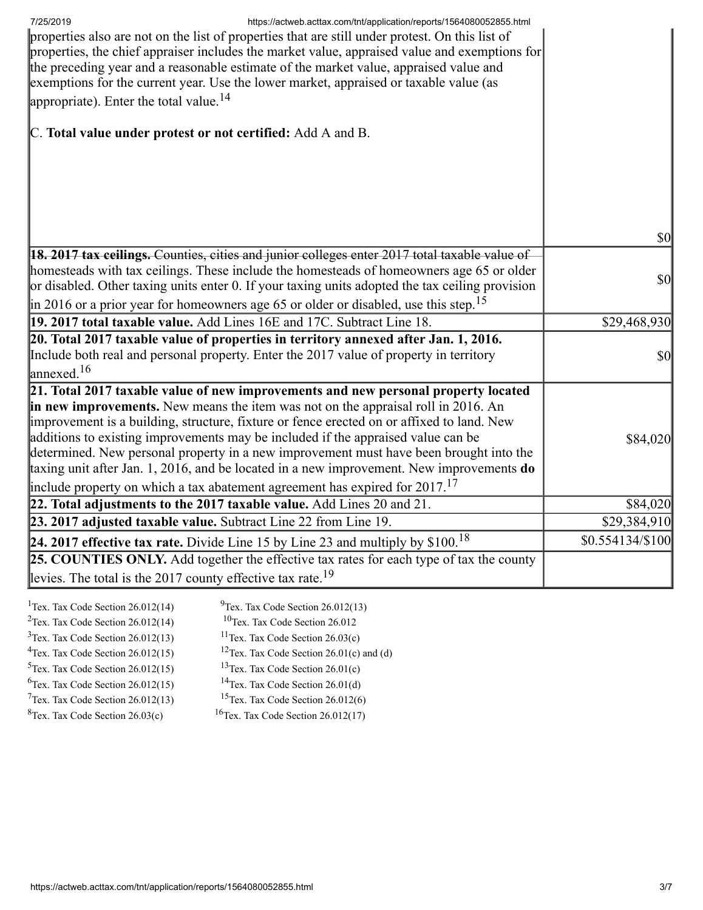| https://actweb.acttax.com/tnt/application/reports/1564080052855.html<br>7/25/2019<br>properties also are not on the list of properties that are still under protest. On this list of<br>properties, the chief appraiser includes the market value, appraised value and exemptions for<br>the preceding year and a reasonable estimate of the market value, appraised value and<br>exemptions for the current year. Use the lower market, appraised or taxable value (as<br>appropriate). Enter the total value. <sup>14</sup> |                         |
|-------------------------------------------------------------------------------------------------------------------------------------------------------------------------------------------------------------------------------------------------------------------------------------------------------------------------------------------------------------------------------------------------------------------------------------------------------------------------------------------------------------------------------|-------------------------|
| C. Total value under protest or not certified: Add A and B.                                                                                                                                                                                                                                                                                                                                                                                                                                                                   |                         |
|                                                                                                                                                                                                                                                                                                                                                                                                                                                                                                                               |                         |
|                                                                                                                                                                                                                                                                                                                                                                                                                                                                                                                               |                         |
|                                                                                                                                                                                                                                                                                                                                                                                                                                                                                                                               | $\vert \$\text{0}\vert$ |
| 18. 2017 tax ceilings. Counties, cities and junior colleges enter 2017 total taxable value of<br>homesteads with tax ceilings. These include the homesteads of homeowners age 65 or older<br>or disabled. Other taxing units enter 0. If your taxing units adopted the tax ceiling provision                                                                                                                                                                                                                                  | <b>\$0</b>              |
| $\left  \text{in } 2016 \text{ or a prior year for home owners age } 65 \text{ or older or disabled, use this step.} \right ^{15}$<br>19. 2017 total taxable value. Add Lines 16E and 17C. Subtract Line 18.                                                                                                                                                                                                                                                                                                                  |                         |
| 20. Total 2017 taxable value of properties in territory annexed after Jan. 1, 2016.                                                                                                                                                                                                                                                                                                                                                                                                                                           | \$29,468,930            |
| Include both real and personal property. Enter the 2017 value of property in territory<br>$\lvert$ annexed. <sup>16</sup>                                                                                                                                                                                                                                                                                                                                                                                                     | <b>\$0</b>              |
| 21. Total 2017 taxable value of new improvements and new personal property located                                                                                                                                                                                                                                                                                                                                                                                                                                            |                         |
| in new improvements. New means the item was not on the appraisal roll in 2016. An<br>improvement is a building, structure, fixture or fence erected on or affixed to land. New<br>additions to existing improvements may be included if the appraised value can be<br>determined. New personal property in a new improvement must have been brought into the<br>taxing unit after Jan. 1, 2016, and be located in a new improvement. New improvements do                                                                      | \$84,020                |
| include property on which a tax abatement agreement has expired for $2017$ . <sup>17</sup>                                                                                                                                                                                                                                                                                                                                                                                                                                    |                         |
| 22. Total adjustments to the 2017 taxable value. Add Lines 20 and 21.                                                                                                                                                                                                                                                                                                                                                                                                                                                         | \$84,020                |
| 23. 2017 adjusted taxable value. Subtract Line 22 from Line 19.                                                                                                                                                                                                                                                                                                                                                                                                                                                               | \$29,384,910            |
| 24. 2017 effective tax rate. Divide Line 15 by Line 23 and multiply by $$100.18$                                                                                                                                                                                                                                                                                                                                                                                                                                              | \$0.554134/\$100        |
| 25. COUNTIES ONLY. Add together the effective tax rates for each type of tax the county                                                                                                                                                                                                                                                                                                                                                                                                                                       |                         |
| levies. The total is the 2017 county effective tax rate. <sup>19</sup>                                                                                                                                                                                                                                                                                                                                                                                                                                                        |                         |
| $9$ Tex. Tax Code Section 26.012(13)<br><sup>1</sup> Tex. Tax Code Section $26.012(14)$                                                                                                                                                                                                                                                                                                                                                                                                                                       |                         |

<sup>2</sup>Tex. Tax Code Section  $26.012(14)$ <sup>10</sup>Tex. Tax Code Section 26.012  $3$ Tex. Tax Code Section 26.012(13) <sup>11</sup>Tex. Tax Code Section  $26.03(c)$ <sup>4</sup>Tex. Tax Code Section  $26.012(15)$ <sup>12</sup>Tex. Tax Code Section 26.01(c) and (d)  $5$ Tex. Tax Code Section 26.012(15)  $13$ Tex. Tax Code Section 26.01(c)  $6$ Tex. Tax Code Section 26.012(15) <sup>14</sup>Tex. Tax Code Section  $26.01(d)$  $7$ Tex. Tax Code Section 26.012(13) <sup>15</sup>Tex. Tax Code Section 26.012(6)  ${}^{8}$ Tex. Tax Code Section 26.03(c)  $16$ Tex. Tax Code Section 26.012(17)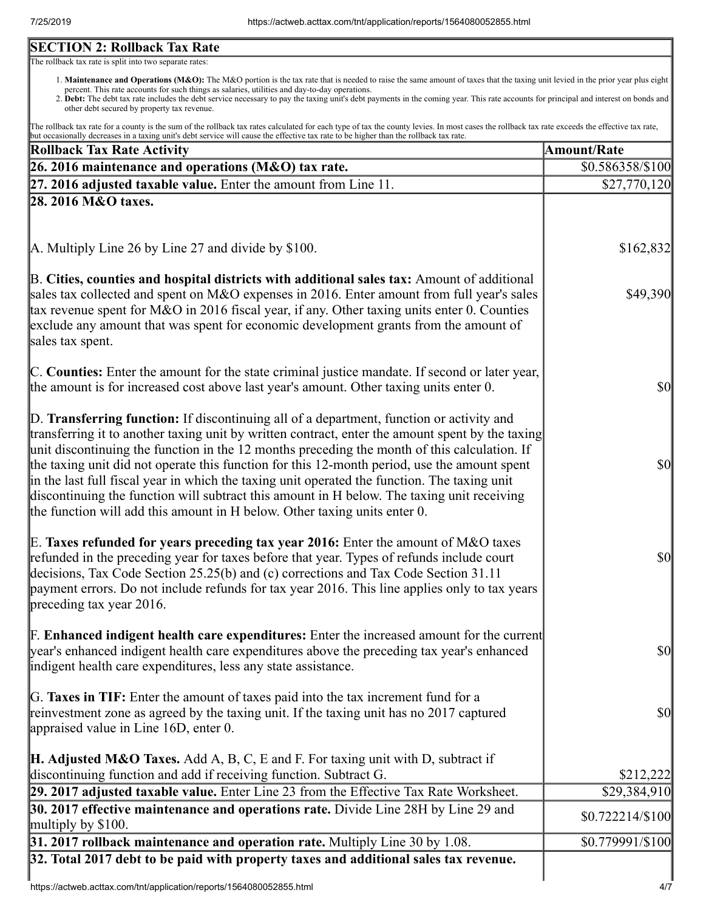# **SECTION 2: Rollback Tax Rate**

The rollback tax rate is split into two separate rates:

- 1. Maintenance and Operations (M&O): The M&O portion is the tax rate that is needed to raise the same amount of taxes that the taxing unit levied in the prior year plus eight percent. This rate accounts for such things as salaries, utilities and day-to-day operations.
- 2. Debt: The debt tax rate includes the debt service necessary to pay the taxing unit's debt payments in the coming year. This rate accounts for principal and interest on bonds and other debt secured by property tax revenue.

The rollback tax rate for a county is the sum of the rollback tax rates calculated for each type of tax the county levies. In most cases the rollback tax rate exceeds the effective tax rate, but occasionally decreases in a taxing unit's debt service will cause the effective tax rate to be higher than the rollback tax rate.

| <b>Rollback Tax Rate Activity</b>                                                                                                                                                                                                                                                                                                                                                                                                                                                                                                                                                                                                                                       | <b>Amount/Rate</b>                  |
|-------------------------------------------------------------------------------------------------------------------------------------------------------------------------------------------------------------------------------------------------------------------------------------------------------------------------------------------------------------------------------------------------------------------------------------------------------------------------------------------------------------------------------------------------------------------------------------------------------------------------------------------------------------------------|-------------------------------------|
| 26. 2016 maintenance and operations (M&O) tax rate.                                                                                                                                                                                                                                                                                                                                                                                                                                                                                                                                                                                                                     | \$0.586358/\$100                    |
| $\left 27, 2016\right\rangle$ adjusted taxable value. Enter the amount from Line 11.                                                                                                                                                                                                                                                                                                                                                                                                                                                                                                                                                                                    | \$27,770,120                        |
| 28. 2016 M&O taxes.                                                                                                                                                                                                                                                                                                                                                                                                                                                                                                                                                                                                                                                     |                                     |
| $\vert$ A. Multiply Line 26 by Line 27 and divide by \$100.                                                                                                                                                                                                                                                                                                                                                                                                                                                                                                                                                                                                             | \$162,832                           |
| B. Cities, counties and hospital districts with additional sales tax: Amount of additional<br>sales tax collected and spent on M&O expenses in 2016. Enter amount from full year's sales<br>tax revenue spent for M&O in 2016 fiscal year, if any. Other taxing units enter 0. Counties<br>exclude any amount that was spent for economic development grants from the amount of<br>sales tax spent.                                                                                                                                                                                                                                                                     | \$49,390                            |
| C. Counties: Enter the amount for the state criminal justice mandate. If second or later year,<br>the amount is for increased cost above last year's amount. Other taxing units enter 0.                                                                                                                                                                                                                                                                                                                                                                                                                                                                                | <b>\$0</b>                          |
| D. Transferring function: If discontinuing all of a department, function or activity and<br>transferring it to another taxing unit by written contract, enter the amount spent by the taxing<br>unit discontinuing the function in the 12 months preceding the month of this calculation. If<br>the taxing unit did not operate this function for this 12-month period, use the amount spent<br>in the last full fiscal year in which the taxing unit operated the function. The taxing unit<br>discontinuing the function will subtract this amount in H below. The taxing unit receiving<br>the function will add this amount in H below. Other taxing units enter 0. | <b>\$0</b>                          |
| E. Taxes refunded for years preceding tax year 2016: Enter the amount of M&O taxes<br>refunded in the preceding year for taxes before that year. Types of refunds include court<br>decisions, Tax Code Section 25.25(b) and (c) corrections and Tax Code Section 31.11<br>payment errors. Do not include refunds for tax year 2016. This line applies only to tax years<br>preceding tax year 2016.                                                                                                                                                                                                                                                                     | <b>\$0</b>                          |
| <b>F. Enhanced indigent health care expenditures:</b> Enter the increased amount for the current<br>year's enhanced indigent health care expenditures above the preceding tax year's enhanced<br>indigent health care expenditures, less any state assistance.                                                                                                                                                                                                                                                                                                                                                                                                          | $\vert \mathbf{S} \mathbf{O} \vert$ |
| G. Taxes in TIF: Enter the amount of taxes paid into the tax increment fund for a<br>reinvestment zone as agreed by the taxing unit. If the taxing unit has no 2017 captured<br>appraised value in Line 16D, enter 0.                                                                                                                                                                                                                                                                                                                                                                                                                                                   | $\vert \mathbf{S} \mathbf{O} \vert$ |
| <b>H. Adjusted M&amp;O Taxes.</b> Add A, B, C, E and F. For taxing unit with D, subtract if<br>discontinuing function and add if receiving function. Subtract G.                                                                                                                                                                                                                                                                                                                                                                                                                                                                                                        | \$212,222                           |
| 29. 2017 adjusted taxable value. Enter Line 23 from the Effective Tax Rate Worksheet.                                                                                                                                                                                                                                                                                                                                                                                                                                                                                                                                                                                   | \$29,384,910                        |
| <b>30. 2017 effective maintenance and operations rate.</b> Divide Line 28H by Line 29 and<br>multiply by $$100$ .                                                                                                                                                                                                                                                                                                                                                                                                                                                                                                                                                       | $$0.722214\%100$                    |
| $31.2017$ rollback maintenance and operation rate. Multiply Line 30 by 1.08.                                                                                                                                                                                                                                                                                                                                                                                                                                                                                                                                                                                            | $$0.779991\\ $100$                  |
| 32. Total 2017 debt to be paid with property taxes and additional sales tax revenue.                                                                                                                                                                                                                                                                                                                                                                                                                                                                                                                                                                                    |                                     |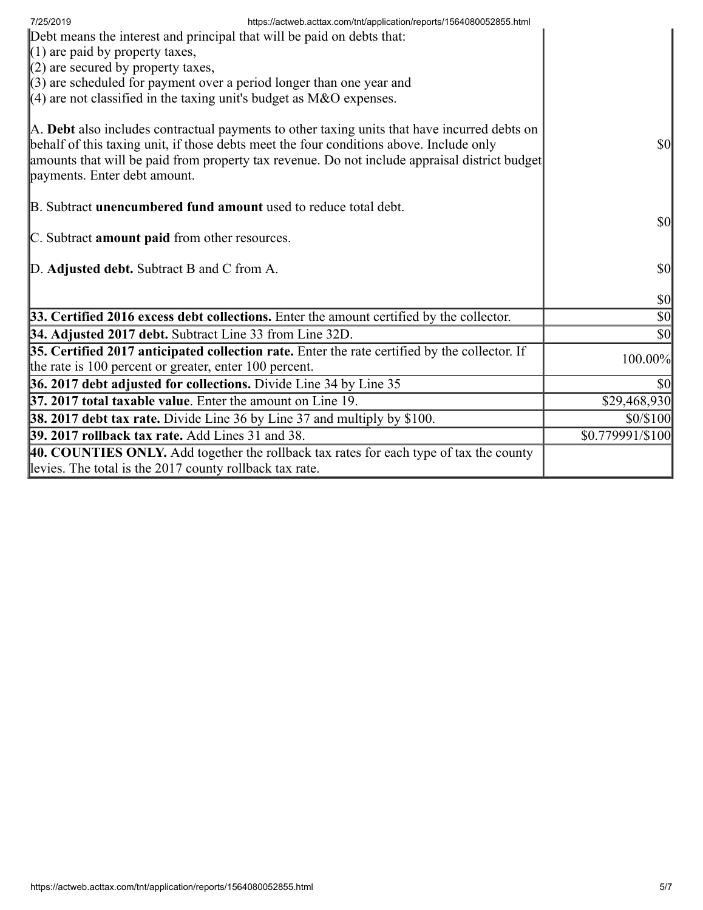| https://actweb.acttax.com/tnt/application/reports/1564080052855.html<br>7/25/2019<br>Debt means the interest and principal that will be paid on debts that:<br>$(1)$ are paid by property taxes,<br>$(2)$ are secured by property taxes,<br>$\parallel$ (3) are scheduled for payment over a period longer than one year and<br>$(4)$ are not classified in the taxing unit's budget as M&O expenses. |                                     |
|-------------------------------------------------------------------------------------------------------------------------------------------------------------------------------------------------------------------------------------------------------------------------------------------------------------------------------------------------------------------------------------------------------|-------------------------------------|
| A. Debt also includes contractual payments to other taxing units that have incurred debts on<br>behalf of this taxing unit, if those debts meet the four conditions above. Include only<br>amounts that will be paid from property tax revenue. Do not include appraisal district budget<br>payments. Enter debt amount.                                                                              | <b>\$0</b>                          |
| B. Subtract <b>unencumbered fund amount</b> used to reduce total debt.<br>C. Subtract amount paid from other resources.                                                                                                                                                                                                                                                                               | <b>\$0</b>                          |
| D. Adjusted debt. Subtract B and C from A.                                                                                                                                                                                                                                                                                                                                                            | $\vert \$\text{0}\vert$             |
|                                                                                                                                                                                                                                                                                                                                                                                                       | $ 10\rangle$                        |
| 33. Certified 2016 excess debt collections. Enter the amount certified by the collector.                                                                                                                                                                                                                                                                                                              | $\vert \mathbf{S} \mathbf{0} \vert$ |
| 34. Adjusted 2017 debt. Subtract Line 33 from Line 32D.                                                                                                                                                                                                                                                                                                                                               | $\vert \mathbf{S} \mathbf{0} \vert$ |
| 35. Certified 2017 anticipated collection rate. Enter the rate certified by the collector. If<br>the rate is 100 percent or greater, enter 100 percent.                                                                                                                                                                                                                                               | 100.00%                             |
| 36. 2017 debt adjusted for collections. Divide Line 34 by Line 35                                                                                                                                                                                                                                                                                                                                     | \$0                                 |
| <b>37. 2017 total taxable value.</b> Enter the amount on Line 19.                                                                                                                                                                                                                                                                                                                                     | \$29,468,930                        |
| <b>38. 2017 debt tax rate.</b> Divide Line 36 by Line 37 and multiply by \$100.                                                                                                                                                                                                                                                                                                                       | \$0/\$100                           |
| 39. 2017 rollback tax rate. Add Lines 31 and 38.                                                                                                                                                                                                                                                                                                                                                      | \$0.779991/\$100                    |
| 40. COUNTIES ONLY. Add together the rollback tax rates for each type of tax the county<br>levies. The total is the 2017 county rollback tax rate.                                                                                                                                                                                                                                                     |                                     |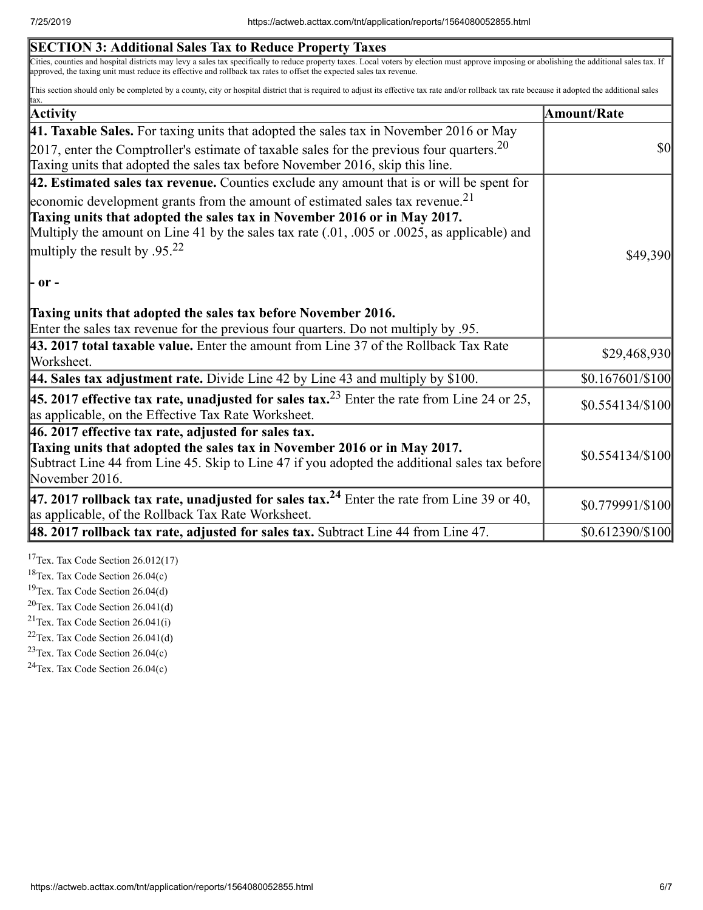| <b>SECTION 3: Additional Sales Tax to Reduce Property Taxes</b>                                                                                                                                                                                                                                                       |                    |
|-----------------------------------------------------------------------------------------------------------------------------------------------------------------------------------------------------------------------------------------------------------------------------------------------------------------------|--------------------|
| Cities, counties and hospital districts may levy a sales tax specifically to reduce property taxes. Local voters by election must approve imposing or abolishing the additional sales tax. If<br>approved, the taxing unit must reduce its effective and rollback tax rates to offset the expected sales tax revenue. |                    |
| This section should only be completed by a county, city or hospital district that is required to adjust its effective tax rate and/or rollback tax rate because it adopted the additional sales                                                                                                                       |                    |
| Activity                                                                                                                                                                                                                                                                                                              | Amount/Rate        |
| 41. Taxable Sales. For taxing units that adopted the sales tax in November 2016 or May                                                                                                                                                                                                                                |                    |
| [2017, enter the Comptroller's estimate of taxable sales for the previous four quarters. <sup>20</sup><br>Taxing units that adopted the sales tax before November 2016, skip this line.                                                                                                                               | $\boldsymbol{S}$ O |
| 42. Estimated sales tax revenue. Counties exclude any amount that is or will be spent for                                                                                                                                                                                                                             |                    |
| economic development grants from the amount of estimated sales tax revenue. <sup>21</sup><br>Taxing units that adopted the sales tax in November 2016 or in May 2017.<br>Multiply the amount on Line 41 by the sales tax rate $(.01, .005)$ or $.0025$ , as applicable) and                                           |                    |
| multiply the result by .95. <sup>22</sup>                                                                                                                                                                                                                                                                             | \$49,390           |
| $\mathbf{r}$ -<br>Taxing units that adopted the sales tax before November 2016.<br>Enter the sales tax revenue for the previous four quarters. Do not multiply by .95.                                                                                                                                                |                    |
| 43. 2017 total taxable value. Enter the amount from Line 37 of the Rollback Tax Rate<br>Worksheet.                                                                                                                                                                                                                    | \$29,468,930       |
| 44. Sales tax adjustment rate. Divide Line 42 by Line 43 and multiply by \$100.                                                                                                                                                                                                                                       | \$0.167601/\$100   |
| <b>45. 2017 effective tax rate, unadjusted for sales tax.</b> <sup>23</sup> Enter the rate from Line 24 or 25,<br>as applicable, on the Effective Tax Rate Worksheet.                                                                                                                                                 | \$0.554134/\$100   |
| 46. 2017 effective tax rate, adjusted for sales tax.<br>Taxing units that adopted the sales tax in November 2016 or in May 2017.<br>Subtract Line 44 from Line 45. Skip to Line 47 if you adopted the additional sales tax before<br>November 2016.                                                                   | \$0.554134/\$100   |
| 47. 2017 rollback tax rate, unadjusted for sales tax. <sup>24</sup> Enter the rate from Line 39 or 40,<br>as applicable, of the Rollback Tax Rate Worksheet.                                                                                                                                                          | \$0.779991/\$100   |
| 48. 2017 rollback tax rate, adjusted for sales tax. Subtract Line 44 from Line 47.                                                                                                                                                                                                                                    | \$0.612390/\$100   |

 $17$ Tex. Tax Code Section 26.012(17)

<sup>18</sup>Tex. Tax Code Section 26.04(c)

<sup>19</sup>Tex. Tax Code Section 26.04(d)

 $20$ Tex. Tax Code Section 26.041(d)

<sup>21</sup>Tex. Tax Code Section  $26.041(i)$ 

<sup>22</sup>Tex. Tax Code Section  $26.041(d)$ 

 $23$ Tex. Tax Code Section 26.04(c)

 $24$ Tex. Tax Code Section 26.04(c)